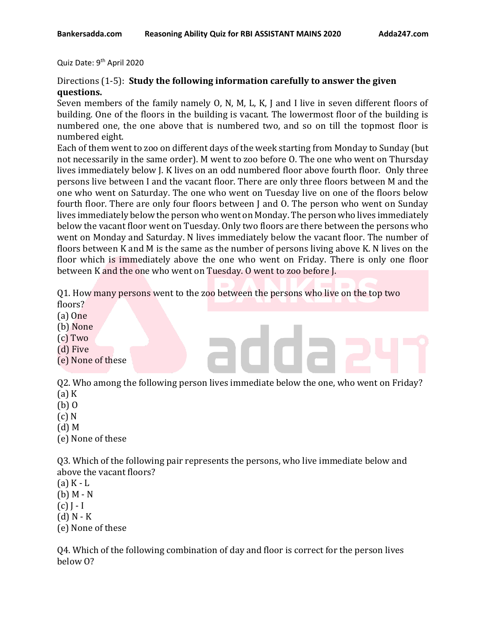Quiz Date: 9<sup>th</sup> April 2020

## Directions (1-5): **Study the following information carefully to answer the given questions.**

Seven members of the family namely O, N, M, L, K, J and I live in seven different floors of building. One of the floors in the building is vacant. The lowermost floor of the building is numbered one, the one above that is numbered two, and so on till the topmost floor is numbered eight.

Each of them went to zoo on different days of the week starting from Monday to Sunday (but not necessarily in the same order). M went to zoo before O. The one who went on Thursday lives immediately below J. K lives on an odd numbered floor above fourth floor. Only three persons live between I and the vacant floor. There are only three floors between M and the one who went on Saturday. The one who went on Tuesday live on one of the floors below fourth floor. There are only four floors between J and O. The person who went on Sunday lives immediately below the person who went on Monday. The person who lives immediately below the vacant floor went on Tuesday. Only two floors are there between the persons who went on Monday and Saturday. N lives immediately below the vacant floor. The number of floors between K and M is the same as the number of persons living above K. N lives on the floor which is immediately above the one who went on Friday. There is only one floor between K and the one who went on Tuesday. O went to zoo before J.

Q1. How many persons went to the zoo between the persons who live on the top two floors?

- (a) One
- (b) None
- (c) Two
- (d) Five
- (e) None of these

Q2. Who among the following person lives immediate below the one, who went on Friday?

- $(a)$  K
- (b) O
- (c) N
- (d) M
- (e) None of these

Q3. Which of the following pair represents the persons, who live immediate below and above the vacant floors?

- (a) K L
- (b) M N
- $(c)$  J I
- $(d)$  N K
- (e) None of these

Q4. Which of the following combination of day and floor is correct for the person lives below O?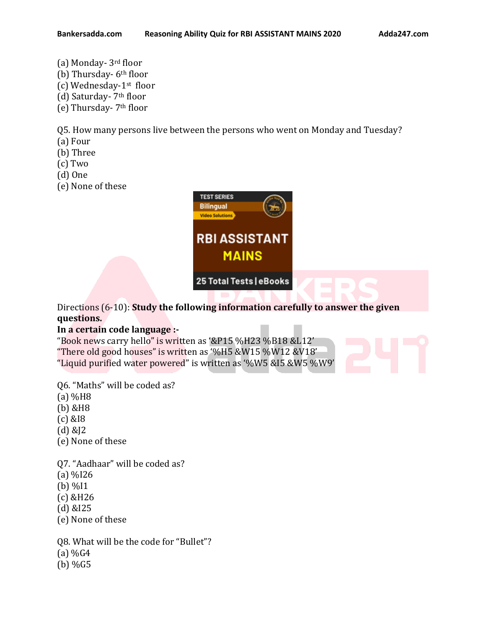- (a) Monday- 3rd floor
- (b) Thursday- 6<sup>th</sup> floor
- (c) Wednesday-1st floor
- (d) Saturday- 7th floor
- (e) Thursday- 7th floor

Q5. How many persons live between the persons who went on Monday and Tuesday?

- (a) Four
- (b) Three
- (c) Two
- (d) One
- (e) None of these



Directions (6-10): **Study the following information carefully to answer the given questions.** 

# **In a certain code language :-**

"Book news carry hello" is written as '&P15 %H23 %B18 &L12' "There old good houses" is written as '%H5 &W15 %W12 &V18' "Liquid purified water powered" is written as '%W5 &I5 &W5 %W9'

Q6. "Maths" will be coded as?

- (a) %H8
- (b) &H8
- (c) &I8
- (d) &J2
- (e) None of these

Q7. "Aadhaar" will be coded as?

- (a) %I26
- (b) %I1
- (c) &H26
- (d) &I25
- (e) None of these

Q8. What will be the code for "Bullet"?

- $(a)$  %G4
- (b) %G5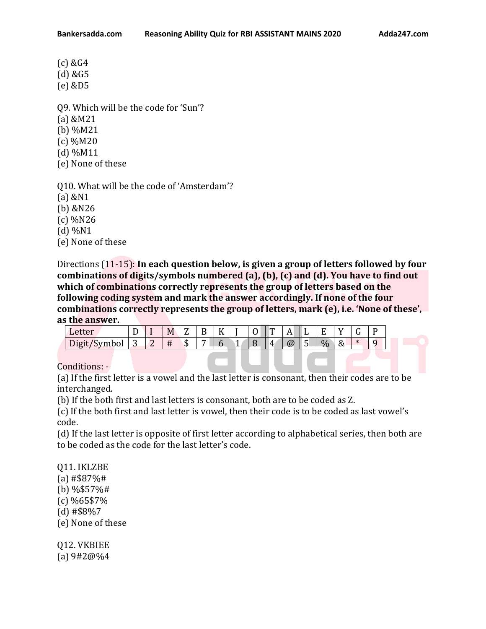(c) &G4

(d) &G5

(e) &D5

Q9. Which will be the code for 'Sun'?

- (a) &M21
- (b) %M21
- (c) %M20
- (d) %M11
- (e) None of these

Q10. What will be the code of 'Amsterdam'?

(a) &N1

(b) &N26

(c) %N26

(d) %N1

(e) None of these

Directions (11-15): **In each question below, is given a group of letters followed by four combinations of digits/symbols numbered (a), (b), (c) and (d). You have to find out which of combinations correctly represents the group of letters based on the following coding system and mark the answer accordingly. If none of the four combinations correctly represents the group of letters, mark (e), i.e. 'None of these', as the answer.**

| Letter       | ້ | M |    |  |   | m            | $\blacktriangleleft$<br>$\overline{\phantom{a}}$ | ∸        | –<br>. . |          |  |
|--------------|---|---|----|--|---|--------------|--------------------------------------------------|----------|----------|----------|--|
| Digit/Symbol |   | Ħ | ٠D |  | - | $\mathbf{4}$ | $\omega$                                         | с<br>. . | $\%$     | $\alpha$ |  |

Conditions: -

(a) If the first letter is a vowel and the last letter is consonant, then their codes are to be interchanged.

(b) If the both first and last letters is consonant, both are to be coded as Z.

(c) If the both first and last letter is vowel, then their code is to be coded as last vowel's code.

(d) If the last letter is opposite of first letter according to alphabetical series, then both are to be coded as the code for the last letter's code.

Q11. IKLZBE (a) #\$87%# (b) %\$57%# (c) %65\$7% (d) #\$8%7 (e) None of these

Q12. VKBIEE (a) 9#2@%4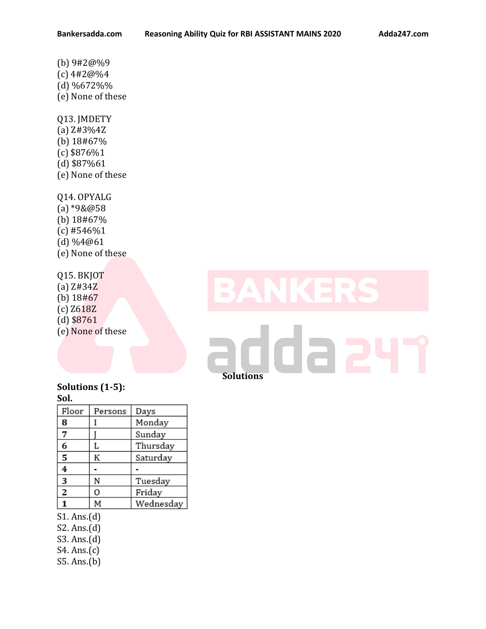(b) 9#2@%9 (c) 4#2@%4 (d) %672%% (e) None of these Q13. JMDETY (a) Z#3%4Z (b) 18#67% (c) \$876%1 (d) \$87%61 (e) None of these

Q14. OPYALG (a) \*9&@58 (b) 18#67%  $(c)$ #546%1 (d) %4@61 (e) None of these

Q15. BKJOT (a) Z#34Z (b) 18#67 (c) Z618Z (d) \$8761 (e) None of these

# da 2 **Solutions**

## **Solutions (1-5): Sol.**

| Floor | Persons | Days      |
|-------|---------|-----------|
| 8     |         | Monday    |
| 7     |         | Sunday    |
| 6     | L       | Thursday  |
| 5     | К       | Saturday  |
| 4     |         |           |
| 3     | N       | Tuesday   |
| 2     | 0       | Friday    |
|       | М       | Wednesday |

S1. Ans.(d)

S2. Ans.(d)

S3. Ans.(d)

S4. Ans.(c)

S5. Ans.(b)